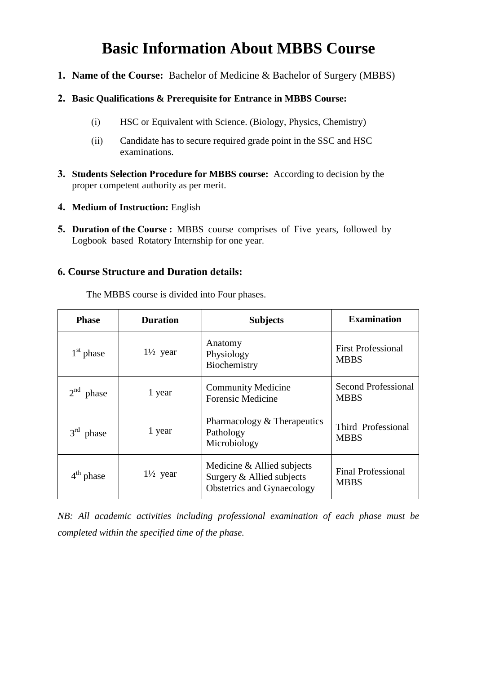# **Basic Information About MBBS Course**

**1. Name of the Course:** Bachelor of Medicine & Bachelor of Surgery (MBBS)

## **2. Basic Qualifications & Prerequisite for Entrance in MBBS Course:**

- (i) HSC or Equivalent with Science. (Biology, Physics, Chemistry)
- (ii) Candidate has to secure required grade point in the SSC and HSC examinations.
- **3. Students Selection Procedure for MBBS course:** According to decision by the proper competent authority as per merit.
- **4. Medium of Instruction:** English
- **5. Duration of the Course : MBBS** course comprises of Five years, followed by Logbook based Rotatory Internship for one year.

## **6. Course Structure and Duration details:**

The MBBS course is divided into Four phases.

| <b>Phase</b>             | <b>Duration</b>     | <b>Subjects</b>                                                                              | <b>Examination</b>                        |
|--------------------------|---------------------|----------------------------------------------------------------------------------------------|-------------------------------------------|
| $1st$ phase              | $1\frac{1}{2}$ year | Anatomy<br>Physiology<br>Biochemistry                                                        | <b>First Professional</b><br><b>MBBS</b>  |
| $2nd$ phase              | 1 year              | <b>Community Medicine</b><br><b>Forensic Medicine</b>                                        | <b>Second Professional</b><br><b>MBBS</b> |
| 3 <sup>rd</sup><br>phase | 1 year              | Pharmacology & Therapeutics<br>Pathology<br>Microbiology                                     | Third Professional<br><b>MBBS</b>         |
| $4th$ phase              | $1\frac{1}{2}$ year | Medicine & Allied subjects<br>Surgery & Allied subjects<br><b>Obstetrics and Gynaecology</b> | <b>Final Professional</b><br><b>MBBS</b>  |

*NB: All academic activities including professional examination of each phase must be completed within the specified time of the phase.*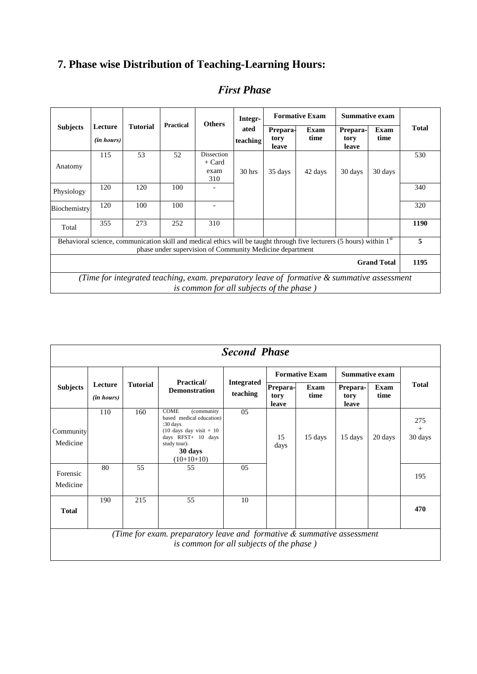## **7. Phase wise Distribution of Teaching-Learning Hours:**

|                            |                                                                                                                                                   |                 |                  | Integr-<br><b>Others</b>                                 |                  |                           | <b>Formative Exam</b>                                                                                                             | <b>Summative exam</b>     |              |              |
|----------------------------|---------------------------------------------------------------------------------------------------------------------------------------------------|-----------------|------------------|----------------------------------------------------------|------------------|---------------------------|-----------------------------------------------------------------------------------------------------------------------------------|---------------------------|--------------|--------------|
| <b>Subjects</b>            | Lecture<br>( <i>in hours</i> )                                                                                                                    | <b>Tutorial</b> | <b>Practical</b> |                                                          | ated<br>teaching | Prepara-<br>tory<br>leave | Exam<br>time                                                                                                                      | Prepara-<br>tory<br>leave | Exam<br>time | <b>Total</b> |
| Anatomy                    | 115                                                                                                                                               | 53              | 52               | Dissection<br>$+$ Card<br>exam<br>310                    | 30 <sub>h</sub>  | 35 days                   | 42 days                                                                                                                           | 30 days                   | 30 days      | 530          |
| Physiology                 | 120                                                                                                                                               | 120             | 100              |                                                          |                  |                           |                                                                                                                                   |                           |              | 340          |
| Biochemistry               | 120                                                                                                                                               | 100             | 100              |                                                          |                  |                           |                                                                                                                                   |                           |              | 320          |
| Total                      | 355                                                                                                                                               | 273             | 252              | 310                                                      |                  |                           |                                                                                                                                   |                           |              | 1190         |
|                            |                                                                                                                                                   |                 |                  | phase under supervision of Community Medicine department |                  |                           | Behavioral science, communication skill and medical ethics will be taught through five lecturers (5 hours) within 1 <sup>st</sup> |                           |              | 5            |
| 1195<br><b>Grand Total</b> |                                                                                                                                                   |                 |                  |                                                          |                  |                           |                                                                                                                                   |                           |              |              |
|                            | (Time for integrated teaching, exam. preparatory leave of formative $\&$ summative assessment<br><i>is common for all subjects of the phase</i> ) |                 |                  |                                                          |                  |                           |                                                                                                                                   |                           |              |              |

## *First Phase*

|                       | <b>Second Phase</b>                                                                                                   |                 |                                                                                                                                                                           |                               |                           |              |                           |              |                          |  |  |
|-----------------------|-----------------------------------------------------------------------------------------------------------------------|-----------------|---------------------------------------------------------------------------------------------------------------------------------------------------------------------------|-------------------------------|---------------------------|--------------|---------------------------|--------------|--------------------------|--|--|
|                       |                                                                                                                       |                 | Practical/                                                                                                                                                                |                               | <b>Formative Exam</b>     |              | <b>Summative exam</b>     |              |                          |  |  |
| <b>Subjects</b>       | Lecture<br>( <i>in hours</i> )                                                                                        | <b>Tutorial</b> | <b>Demonstration</b>                                                                                                                                                      | <b>Integrated</b><br>teaching | Prepara-<br>tory<br>leave | Exam<br>time | Prepara-<br>tory<br>leave | Exam<br>time | <b>Total</b>             |  |  |
| Community<br>Medicine | 110                                                                                                                   | 160             | <b>COME</b><br>(community)<br>based medical education)<br>:30 days<br>$(10 \text{ days day visit} + 10)$<br>days RFST+ 10 days<br>study tour)-<br>30 days<br>$(10+10+10)$ | 05                            | 15<br>days                | 15 days      | 15 days                   | 20 days      | 275<br>$^{+}$<br>30 days |  |  |
| Forensic<br>Medicine  | 80                                                                                                                    | 55              | 55                                                                                                                                                                        | 0 <sub>5</sub>                |                           |              |                           |              | 195                      |  |  |
| <b>Total</b>          | 190                                                                                                                   | 215             | 55                                                                                                                                                                        | 10                            |                           |              |                           |              | 470                      |  |  |
|                       | (Time for exam. preparatory leave and formative $\&$ summative assessment<br>is common for all subjects of the phase) |                 |                                                                                                                                                                           |                               |                           |              |                           |              |                          |  |  |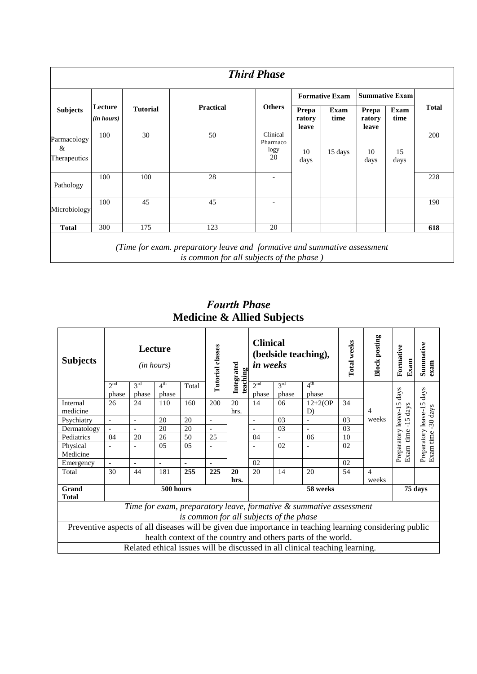| <b>Third Phase</b>               |                       |                 |                  |                                    |                          |                       |                          |              |              |  |  |
|----------------------------------|-----------------------|-----------------|------------------|------------------------------------|--------------------------|-----------------------|--------------------------|--------------|--------------|--|--|
|                                  |                       |                 |                  |                                    |                          | <b>Formative Exam</b> | <b>Summative Exam</b>    |              |              |  |  |
| <b>Subjects</b>                  | Lecture<br>(in hours) | <b>Tutorial</b> | <b>Practical</b> | <b>Others</b>                      | Prepa<br>ratory<br>leave | Exam<br>time          | Prepa<br>ratory<br>leave | Exam<br>time | <b>Total</b> |  |  |
| Parmacology<br>&<br>Therapeutics | 100                   | 30              | 50               | Clinical<br>Pharmaco<br>logy<br>20 | 10<br>days               | 15 days               | 10<br>days               | 15<br>days   | 200          |  |  |
| Pathology                        | 100                   | 100             | 28               | $\overline{a}$                     |                          |                       |                          |              | 228          |  |  |
| Microbiology                     | 100                   | 45              | 45               | $\qquad \qquad$                    |                          |                       |                          |              | 190          |  |  |
| <b>Total</b>                     | 300                   | 175             | 123              | 20                                 |                          |                       |                          |              | 618          |  |  |

*Fourth Phase* **Medicine & Allied Subjects** 

| <b>Subjects</b>                                                                                                                                                         |                          |                          | Lecture<br>( <i>in hours</i> ) |       | Tutorial classes |            | <b>Clinical</b><br>(bedside teaching),<br>Integrated<br>in weeks<br>teaching |                          | Total weeks                                                                 | <b>Block posting</b> | Formative<br>Exam       | Summative<br>exam                |                                   |
|-------------------------------------------------------------------------------------------------------------------------------------------------------------------------|--------------------------|--------------------------|--------------------------------|-------|------------------|------------|------------------------------------------------------------------------------|--------------------------|-----------------------------------------------------------------------------|----------------------|-------------------------|----------------------------------|-----------------------------------|
|                                                                                                                                                                         | 2 <sup>nd</sup><br>phase | $3^{\text{rd}}$<br>phase | 4 <sup>th</sup><br>phase       | Total |                  |            | 2 <sup>nd</sup><br>phase                                                     | $3^{\text{rd}}$<br>phase | 4 <sup>th</sup><br>phase                                                    |                      |                         | days                             | $\frac{days}{1}$                  |
| Internal<br>medicine                                                                                                                                                    | 26                       | 24                       | 110                            | 160   | 200              | 20<br>hrs. | 14                                                                           | 06                       | $12+2$ (OP<br>D)                                                            | 34                   | $\overline{4}$          | 5<br>$-15 \text{ days}$          | -30 days                          |
| Psychiatry                                                                                                                                                              | $\equiv$                 | $\overline{a}$           | 20                             | 20    | $\blacksquare$   |            | $\overline{a}$                                                               | 03                       | $\overline{\phantom{a}}$                                                    | 03                   | weeks                   |                                  |                                   |
| Dermatology                                                                                                                                                             | $\blacksquare$           |                          | 20                             | 20    |                  |            |                                                                              | 0 <sub>3</sub>           | $\overline{\phantom{0}}$                                                    | 03                   |                         |                                  |                                   |
| Pediatrics                                                                                                                                                              | 04                       | 20                       | 26                             | 50    | 25               |            | 04                                                                           | $\bar{a}$                | 06                                                                          | 10                   |                         |                                  |                                   |
| Physical<br>Medicine                                                                                                                                                    | $\overline{a}$           |                          | 0 <sub>5</sub>                 | 0.5   |                  |            |                                                                              | 02                       |                                                                             | 02                   |                         | Preparatory leave-1<br>Exam time | Preparatory leave-15<br>Exam time |
| Emergency                                                                                                                                                               | $\overline{\phantom{a}}$ |                          | $\overline{a}$                 |       |                  |            | 02                                                                           |                          |                                                                             | 02                   |                         |                                  |                                   |
| Total                                                                                                                                                                   | 30                       | 44                       | 181                            | 255   | 225              | 20<br>hrs. | 20                                                                           | 14                       | 20                                                                          | 54                   | $\overline{4}$<br>weeks |                                  |                                   |
| Grand<br><b>Total</b>                                                                                                                                                   |                          |                          | 500 hours                      |       |                  |            |                                                                              |                          | 58 weeks                                                                    |                      |                         |                                  | 75 days                           |
| Time for exam, preparatory leave, formative & summative assessment<br>is common for all subjects of the phase                                                           |                          |                          |                                |       |                  |            |                                                                              |                          |                                                                             |                      |                         |                                  |                                   |
| Preventive aspects of all diseases will be given due importance in teaching learning considering public<br>health context of the country and others parts of the world. |                          |                          |                                |       |                  |            |                                                                              |                          |                                                                             |                      |                         |                                  |                                   |
|                                                                                                                                                                         |                          |                          |                                |       |                  |            |                                                                              |                          | Related ethical issues will be discussed in all clinical teaching learning. |                      |                         |                                  |                                   |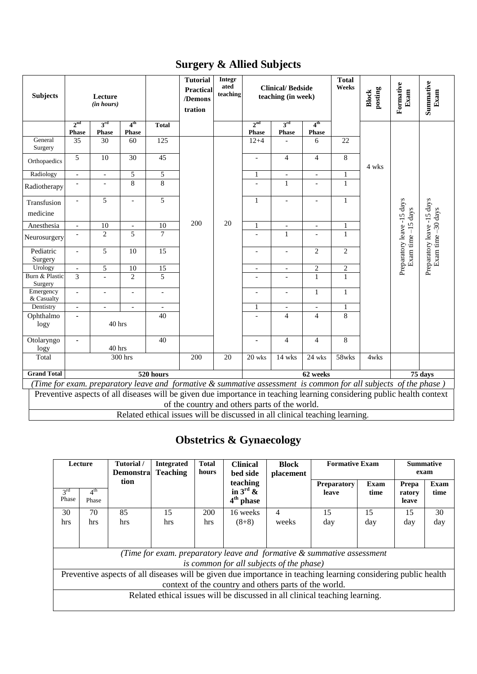|  |  |  | <b>Surgery &amp; Allied Subjects</b> |
|--|--|--|--------------------------------------|
|--|--|--|--------------------------------------|

| <b>Subjects</b>           |                                                                                                                                                                                                                                                                                               | Lecture<br>(in hours)           |                                 |                          | <b>Tutorial</b><br>Practical<br>/Demons<br>tration | <b>Integr</b><br>ated<br>teaching | <b>Clinical/Bedside</b><br>teaching (in week) |                          |                                 | <b>Total</b><br>Weeks | posting<br><b>Block</b> | Formative<br>Exam          | Summative<br>Exam          |
|---------------------------|-----------------------------------------------------------------------------------------------------------------------------------------------------------------------------------------------------------------------------------------------------------------------------------------------|---------------------------------|---------------------------------|--------------------------|----------------------------------------------------|-----------------------------------|-----------------------------------------------|--------------------------|---------------------------------|-----------------------|-------------------------|----------------------------|----------------------------|
|                           | 2 <sub>nd</sub><br>Phase                                                                                                                                                                                                                                                                      | 3 <sup>rd</sup><br><b>Phase</b> | 4 <sup>th</sup><br><b>Phase</b> | <b>Total</b>             |                                                    |                                   | 2 <sup>nd</sup><br><b>Phase</b>               | 3rd<br>Phase             | 4 <sup>th</sup><br><b>Phase</b> |                       |                         |                            |                            |
| General<br>Surgery        | 35                                                                                                                                                                                                                                                                                            | 30                              | 60                              | $\overline{125}$         |                                                    |                                   | $12 + 4$                                      |                          | 6                               | 22                    |                         |                            |                            |
| Orthopaedics              | 5                                                                                                                                                                                                                                                                                             | 10                              | 30                              | 45                       |                                                    |                                   | $\overline{\phantom{a}}$                      | $\overline{4}$           | $\overline{4}$                  | 8                     | 4 wks                   |                            |                            |
| Radiology                 | $\overline{\phantom{a}}$                                                                                                                                                                                                                                                                      | $\overline{\phantom{a}}$        | 5                               | 5                        |                                                    |                                   | $\mathbf{1}$                                  | $\overline{\phantom{a}}$ | $\overline{\phantom{a}}$        | $\mathbf{1}$          |                         |                            |                            |
| Radiotherapy              |                                                                                                                                                                                                                                                                                               | $\blacksquare$                  | 8                               | 8                        |                                                    |                                   |                                               | $\mathbf{1}$             |                                 | $\mathbf{1}$          |                         |                            |                            |
| Transfusion<br>medicine   | $\overline{a}$                                                                                                                                                                                                                                                                                | 5                               | $\overline{a}$                  | $\overline{5}$           |                                                    |                                   | $\mathbf 1$                                   | $\overline{a}$           |                                 | $\mathbf{1}$          |                         | Preparatory leave -15 days | Preparatory leave -15 days |
| Anesthesia                | $\blacksquare$                                                                                                                                                                                                                                                                                | $\overline{10}$                 | $\overline{\phantom{a}}$        | $\overline{10}$          | 200                                                | 20                                | $\mathbf{1}$                                  | $\overline{\phantom{a}}$ | $\overline{a}$                  | $\mathbf{1}$          |                         |                            |                            |
| Neurosurgery              |                                                                                                                                                                                                                                                                                               | $\overline{c}$                  | 5                               | $\overline{7}$           |                                                    |                                   |                                               | $\mathbf{1}$             |                                 | $\mathbf{1}$          |                         |                            |                            |
| Pediatric<br>Surgery      | $\overline{\phantom{a}}$                                                                                                                                                                                                                                                                      | 5                               | 10                              | 15                       |                                                    |                                   | $\overline{\phantom{a}}$                      | $\overline{\phantom{a}}$ | $\mathbf{2}$                    | $\overline{2}$        |                         | Exam time -15 days         | Exam time -30 days         |
| Urology                   | $\overline{\phantom{a}}$                                                                                                                                                                                                                                                                      | $\overline{5}$                  | $\overline{10}$                 | $\overline{15}$          |                                                    |                                   | $\overline{\phantom{a}}$                      | $\overline{\phantom{a}}$ | $\sqrt{2}$                      | $\overline{2}$        |                         |                            |                            |
| Burn & Plastic<br>Surgery | $\overline{3}$                                                                                                                                                                                                                                                                                | $\overline{a}$                  | $\overline{2}$                  | 5                        |                                                    |                                   |                                               |                          | $\mathbf{1}$                    | $\overline{1}$        |                         |                            |                            |
| Emergency<br>& Casualty   | $\overline{\phantom{a}}$                                                                                                                                                                                                                                                                      | $\overline{\phantom{a}}$        | $\overline{a}$                  | $\overline{\phantom{0}}$ |                                                    |                                   | $\frac{1}{2}$                                 | $\overline{\phantom{a}}$ | $\mathbf{1}$                    | $\mathbf{1}$          |                         |                            |                            |
| Dentistry                 | $\overline{\phantom{a}}$                                                                                                                                                                                                                                                                      | $\blacksquare$                  | $\blacksquare$                  | $\blacksquare$           |                                                    |                                   | $\,1\,$                                       | $\overline{\phantom{a}}$ | $\overline{\phantom{a}}$        | $\mathbf{1}$          |                         |                            |                            |
| Ophthalmo<br>logy         | ä,                                                                                                                                                                                                                                                                                            | 40 hrs                          |                                 | 40                       |                                                    |                                   | $\overline{a}$                                | $\overline{4}$           | $\overline{4}$                  | 8                     |                         |                            |                            |
| Otolaryngo<br>logy        | ä,                                                                                                                                                                                                                                                                                            | 40 hrs                          |                                 | 40                       |                                                    |                                   | ä,                                            | $\overline{4}$           | $\overline{4}$                  | 8                     |                         |                            |                            |
| Total                     |                                                                                                                                                                                                                                                                                               |                                 | 300 hrs                         |                          | 200                                                | 20                                | 20 wks                                        | 14 wks                   | 24 wks                          | 58wks                 | 4wks                    |                            |                            |
| <b>Grand Total</b>        |                                                                                                                                                                                                                                                                                               |                                 |                                 | 520 hours                |                                                    |                                   |                                               |                          | 62 weeks                        |                       |                         |                            | 75 days                    |
|                           |                                                                                                                                                                                                                                                                                               |                                 |                                 |                          |                                                    |                                   |                                               |                          |                                 |                       |                         |                            |                            |
|                           | (Time for exam. preparatory leave and formative $\&$ summative assessment is common for all subjects of the phase)<br>Preventive aspects of all diseases will be given due importance in teaching learning considering public health context<br>of the country and others parts of the world. |                                 |                                 |                          |                                                    |                                   |                                               |                          |                                 |                       |                         |                            |                            |
|                           |                                                                                                                                                                                                                                                                                               |                                 |                                 |                          |                                                    |                                   |                                               |                          |                                 |                       |                         |                            |                            |
|                           | Related ethical issues will be discussed in all clinical teaching learning.                                                                                                                                                                                                                   |                                 |                                 |                          |                                                    |                                   |                                               |                          |                                 |                       |                         |                            |                            |

# **Obstetrics & Gynaecology**

|                          | Lecture                                               | Tutorial /<br><b>Demonstral</b> | <b>Integrated</b><br><b>Teaching</b> | <b>Total</b><br>hours | <b>Clinical</b><br>bed side                     | <b>Block</b><br>placement                | <b>Formative Exam</b>                                                                                          |              | exam                     | <b>Summative</b> |
|--------------------------|-------------------------------------------------------|---------------------------------|--------------------------------------|-----------------------|-------------------------------------------------|------------------------------------------|----------------------------------------------------------------------------------------------------------------|--------------|--------------------------|------------------|
| $3^{\text{rd}}$<br>Phase | 4 <sup>th</sup><br>Phase                              | tion                            |                                      |                       | teaching<br>in $3^{\text{rd}}$ &<br>$4th$ phase |                                          | <b>Preparatory</b><br>leave                                                                                    | Exam<br>time | Prepa<br>ratory<br>leave | Exam<br>time     |
| 30                       | 70                                                    | 85                              | 15                                   | 200                   | 16 weeks                                        | $\overline{4}$                           | 15                                                                                                             | 15           | 15                       | 30               |
| hrs                      | hrs                                                   | hrs                             | hrs                                  | hrs                   | $(8+8)$                                         | weeks                                    | day                                                                                                            | day          | day                      | day              |
|                          |                                                       |                                 |                                      |                       |                                                 |                                          |                                                                                                                |              |                          |                  |
|                          |                                                       |                                 |                                      |                       |                                                 |                                          | (Time for exam. preparatory leave and formative $\&$ summative assessment                                      |              |                          |                  |
|                          |                                                       |                                 |                                      |                       |                                                 | is common for all subjects of the phase) |                                                                                                                |              |                          |                  |
|                          |                                                       |                                 |                                      |                       |                                                 |                                          | Preventive aspects of all diseases will be given due importance in teaching learning considering public health |              |                          |                  |
|                          | context of the country and others parts of the world. |                                 |                                      |                       |                                                 |                                          |                                                                                                                |              |                          |                  |
|                          |                                                       |                                 |                                      |                       |                                                 |                                          | Related ethical issues will be discussed in all clinical teaching learning.                                    |              |                          |                  |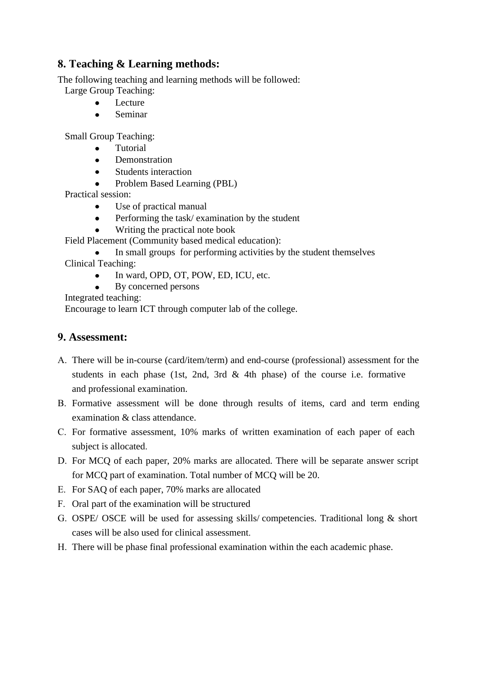## **8. Teaching & Learning methods:**

The following teaching and learning methods will be followed:

- Large Group Teaching:
	- Lecture
	- Seminar  $\bullet$

Small Group Teaching:

- Tutorial
- **Demonstration**  $\bullet$
- Students interaction  $\bullet$
- Problem Based Learning (PBL)

Practical session:

- Use of practical manual
- $\bullet$ Performing the task/ examination by the student
- Writing the practical note book

Field Placement (Community based medical education):

In small groups for performing activities by the student themselves Clinical Teaching:

- In ward, OPD, OT, POW, ED, ICU, etc.
- By concerned persons

Integrated teaching:

Encourage to learn ICT through computer lab of the college.

## **9. Assessment:**

- A. There will be in-course (card/item/term) and end-course (professional) assessment for the students in each phase (1st, 2nd, 3rd & 4th phase) of the course i.e. formative and professional examination.
- B. Formative assessment will be done through results of items, card and term ending examination & class attendance.
- C. For formative assessment, 10% marks of written examination of each paper of each subject is allocated.
- D. For MCQ of each paper, 20% marks are allocated. There will be separate answer script for MCQ part of examination. Total number of MCQ will be 20.
- E. For SAQ of each paper, 70% marks are allocated
- F. Oral part of the examination will be structured
- G. OSPE/ OSCE will be used for assessing skills/ competencies. Traditional long & short cases will be also used for clinical assessment.
- H. There will be phase final professional examination within the each academic phase.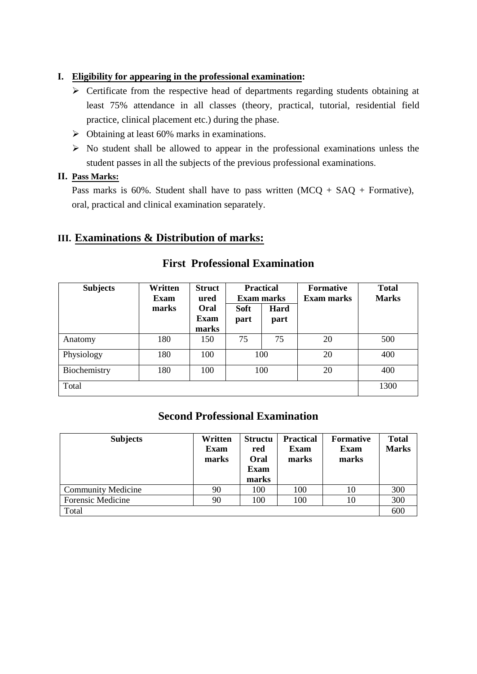#### **I. Eligibility for appearing in the professional examination:**

- $\triangleright$  Certificate from the respective head of departments regarding students obtaining at least 75% attendance in all classes (theory, practical, tutorial, residential field practice, clinical placement etc.) during the phase.
- $\triangleright$  Obtaining at least 60% marks in examinations.
- $\triangleright$  No student shall be allowed to appear in the professional examinations unless the student passes in all the subjects of the previous professional examinations.

#### **II. Pass Marks:**

Pass marks is 60%. Student shall have to pass written  $(MCQ + SAQ + \text{Formative})$ , oral, practical and clinical examination separately.

## **III. Examinations & Distribution of marks:**

| <b>Subjects</b> | Written<br><b>Exam</b> | <b>Struct</b><br>ured        | <b>Exam marks</b>   | <b>Practical</b> | <b>Formative</b><br>Exam marks | <b>Total</b><br><b>Marks</b> |
|-----------------|------------------------|------------------------------|---------------------|------------------|--------------------------------|------------------------------|
|                 | marks                  | Oral<br><b>Exam</b><br>marks | <b>Soft</b><br>part | Hard<br>part     |                                |                              |
| Anatomy         | 180                    | 150                          | 75                  | 75               | 20                             | 500                          |
| Physiology      | 180                    | 100                          |                     | 100              | 20                             | 400                          |
| Biochemistry    | 180                    | 100                          |                     | 100              | 20                             | 400                          |
| Total           |                        |                              |                     |                  |                                | 1300                         |

## **First Professional Examination**

## **Second Professional Examination**

| <b>Subjects</b>           | Written<br><b>Exam</b><br>marks | <b>Structu</b><br>red<br>Oral<br><b>Exam</b><br>marks | <b>Practical</b><br><b>Exam</b><br>marks | <b>Formative</b><br><b>Exam</b><br>marks | <b>Total</b><br><b>Marks</b> |
|---------------------------|---------------------------------|-------------------------------------------------------|------------------------------------------|------------------------------------------|------------------------------|
| <b>Community Medicine</b> | 90                              | 100                                                   | 100                                      | 10                                       | 300                          |
| <b>Forensic Medicine</b>  | 90                              | 100                                                   | 100                                      | 10                                       | 300                          |
| Total                     |                                 |                                                       |                                          |                                          | 600                          |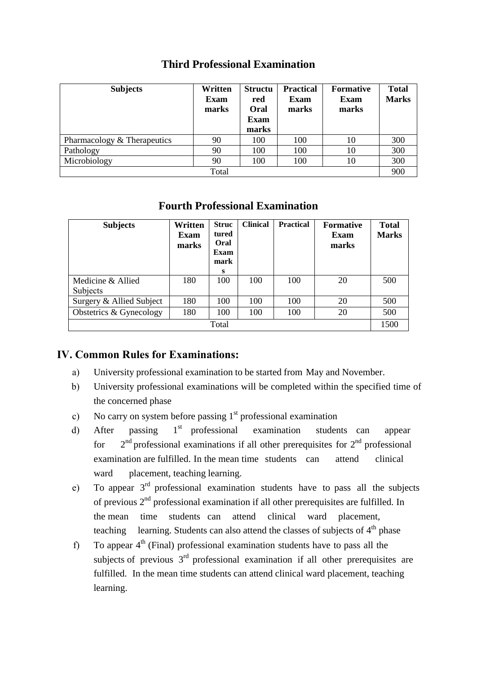| <b>Subjects</b>             | Written<br><b>Exam</b><br>marks | <b>Structu</b><br>red<br><b>Oral</b><br><b>Exam</b><br>marks | <b>Practical</b><br><b>Exam</b><br>marks | <b>Formative</b><br><b>Exam</b><br>marks | <b>Total</b><br><b>Marks</b> |
|-----------------------------|---------------------------------|--------------------------------------------------------------|------------------------------------------|------------------------------------------|------------------------------|
| Pharmacology & Therapeutics | 90                              | 100                                                          | 100                                      | 10                                       | 300                          |
| Pathology                   | 90                              | 100                                                          | 100                                      | 10                                       | 300                          |
| Microbiology                | 90                              | 100                                                          | 100                                      | 10                                       | 300                          |
|                             | Total                           |                                                              |                                          |                                          | 900                          |

## **Third Professional Examination**

## **Fourth Professional Examination**

| <b>Subjects</b>               | Written<br>Exam<br>marks | <b>Struc</b><br>tured<br>Oral<br><b>Exam</b><br>mark<br>s | <b>Clinical</b> | <b>Practical</b> | <b>Formative</b><br>Exam<br>marks | <b>Total</b><br><b>Marks</b> |
|-------------------------------|--------------------------|-----------------------------------------------------------|-----------------|------------------|-----------------------------------|------------------------------|
| Medicine & Allied<br>Subjects | 180                      | 100                                                       | 100             | 100              | 20                                | 500                          |
| Surgery & Allied Subject      | 180                      | 100                                                       | 100             | 100              | 20                                | 500                          |
| Obstetrics & Gynecology       | 180                      | 100                                                       | 100             | 100              | 20                                | 500                          |
|                               |                          | Total                                                     |                 |                  |                                   | 1500                         |

## **IV. Common Rules for Examinations:**

- a) University professional examination to be started from May and November.
- b) University professional examinations will be completed within the specified time of the concerned phase
- c) No carry on system before passing  $1<sup>st</sup>$  professional examination
- d) After passing 1 1<sup>st</sup> professional examination students can appear for  $n<sup>nd</sup>$  professional examinations if all other prerequisites for  $2<sup>nd</sup>$  professional examination are fulfilled. In the mean time students can attend clinical ward placement, teaching learning.
- e) To appear  $3<sup>rd</sup>$  professional examination students have to pass all the subjects of previous 2<sup>nd</sup> professional examination if all other prerequisites are fulfilled. In the mean time students can attend clinical ward placement, teaching learning. Students can also attend the classes of subjects of  $4<sup>th</sup>$  phase
- f) To appear  $4<sup>th</sup>$  (Final) professional examination students have to pass all the subjects of previous  $3<sup>rd</sup>$  professional examination if all other prerequisites are fulfilled. In the mean time students can attend clinical ward placement, teaching learning.